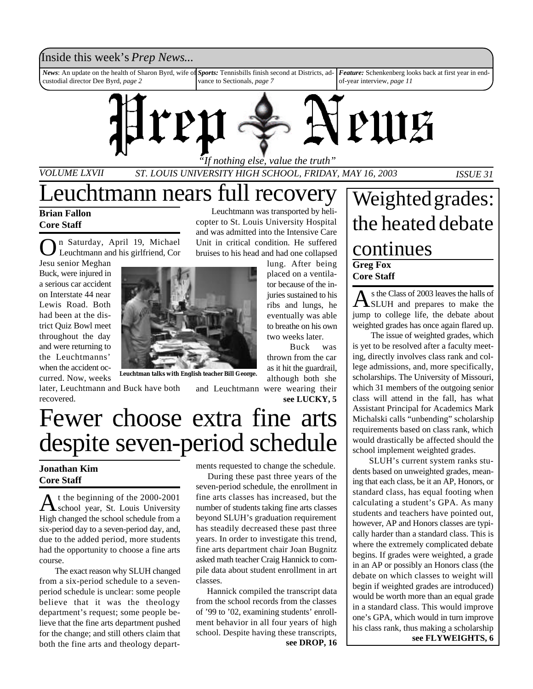### Inside this week's *Prep News*...

*News*: An update on the health of Sharon Byrd, wife of custodial director Dee Byrd, *page 2 Sports:* Tennisbills finish second at Districts, advance to Sectionals, *page 7 Feature:* Schenkenberg looks back at first year in endof-year interview, *page 11*



*VOLUME LXVII ST. LOUIS UNIVERSITY HIGH SCHOOL, FRIDAY, MAY 16, 2003 ISSUE 31*

## Leuchtmann nears full recovery

**Brian Fallon Core Staff**

O n Saturday, April 19, Michael Leuchtmann and his girlfriend, Cor

Jesu senior Meghan Buck, were injured in a serious car accident on Interstate 44 near Lewis Road. Both had been at the district Quiz Bowl meet throughout the day and were returning to the Leuchtmanns' when the accident occurred. Now, weeks



**Leuchtman talks with English teacher Bill George.**

later, Leuchtmann and Buck have both recovered.

Leuchtmann was transported by helicopter to St. Louis University Hospital and was admitted into the Intensive Care Unit in critical condition. He suffered bruises to his head and had one collapsed lung. After being

placed on a ventilator because of the injuries sustained to his ribs and lungs, he eventually was able to breathe on his own two weeks later.

Buck was thrown from the car as it hit the guardrail, although both she and Leuchtmann were wearing their

**see LUCKY, 5**

# Fewer choose extra fine arts despite seven-period schedule

### **Jonathan Kim Core Staff**

A t the beginning of the 2000-2001<br>school year, St. Louis University t the beginning of the 2000-2001 High changed the school schedule from a six-period day to a seven-period day, and, due to the added period, more students had the opportunity to choose a fine arts course.

The exact reason why SLUH changed from a six-period schedule to a sevenperiod schedule is unclear: some people believe that it was the theology department's request; some people believe that the fine arts department pushed for the change; and still others claim that both the fine arts and theology departments requested to change the schedule.

 During these past three years of the seven-period schedule, the enrollment in fine arts classes has increased, but the number of students taking fine arts classes beyond SLUH's graduation requirement has steadily decreased these past three years. In order to investigate this trend, fine arts department chair Joan Bugnitz asked math teacher Craig Hannick to compile data about student enrollment in art classes.

**see DROP, 16** Hannick compiled the transcript data from the school records from the classes of '99 to '02, examining students' enrollment behavior in all four years of high school. Despite having these transcripts,

## **Greg Fox** Weighted grades: the heated debate continues

**Core Staff**

A s the Class of 2003 leaves the halls of<br>SLUH and prepares to make the s the Class of 2003 leaves the halls of jump to college life, the debate about weighted grades has once again flared up.

The issue of weighted grades, which is yet to be resolved after a faculty meeting, directly involves class rank and college admissions, and, more specifically, scholarships. The University of Missouri, which 31 members of the outgoing senior class will attend in the fall, has what Assistant Principal for Academics Mark Michalski calls "unbending" scholarship requirements based on class rank, which would drastically be affected should the school implement weighted grades.

 SLUH's current system ranks students based on unweighted grades, meaning that each class, be it an AP, Honors, or standard class, has equal footing when calculating a student's GPA. As many students and teachers have pointed out, however, AP and Honors classes are typically harder than a standard class. This is where the extremely complicated debate begins. If grades were weighted, a grade in an AP or possibly an Honors class (the debate on which classes to weight will begin if weighted grades are introduced) would be worth more than an equal grade in a standard class. This would improve one's GPA, which would in turn improve his class rank, thus making a scholarship **see FLYWEIGHTS, 6**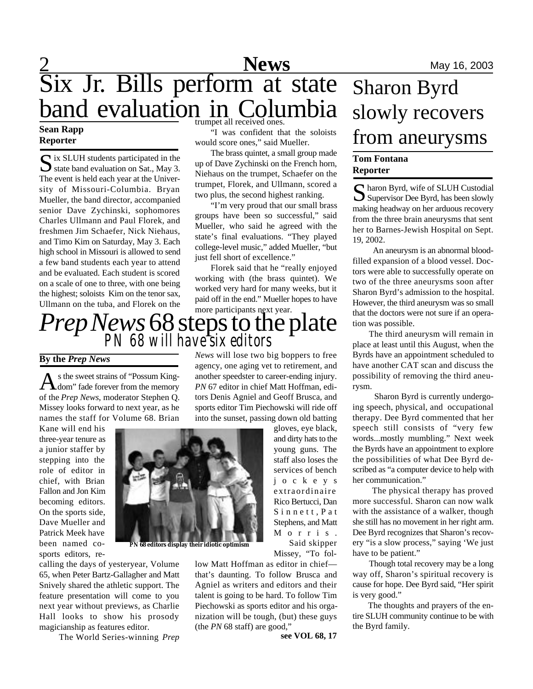### $\frac{2}{2}$  Mews May 16, 2003 Six Jr. Bills perform at state band evaluation in Columbia trumpet all received ones.

### **Sean Rapp Reporter**

S ix SLUH students participated in the<br>state band evaluation on Sat., May 3.  $\bigcap$  ix SLUH students participated in the The event is held each year at the University of Missouri-Columbia. Bryan Mueller, the band director, accompanied senior Dave Zychinski, sophomores Charles Ullmann and Paul Florek, and freshmen Jim Schaefer, Nick Niehaus, and Timo Kim on Saturday, May 3. Each high school in Missouri is allowed to send a few band students each year to attend and be evaluated. Each student is scored on a scale of one to three, with one being the highest; soloists Kim on the tenor sax, Ullmann on the tuba, and Florek on the

"I was confident that the soloists would score ones," said Mueller.

The brass quintet, a small group made up of Dave Zychinski on the French horn, Niehaus on the trumpet, Schaefer on the trumpet, Florek, and Ullmann, scored a two plus, the second highest ranking.

"I'm very proud that our small brass groups have been so successful," said Mueller, who said he agreed with the state's final evaluations. "They played college-level music," added Mueller, "but just fell short of excellence."

Florek said that he "really enjoyed working with (the brass quintet). We worked very hard for many weeks, but it paid off in the end." Mueller hopes to have more participants next year.

## *Prep News*68 steps to the plate *PN 68 will have six editors*

#### **By the** *Prep News*

A s the sweet strains of "Possum King-<br>
dom" fade forever from the memory s the sweet strains of "Possum Kingof the *Prep News*, moderator Stephen Q. Missey looks forward to next year, as he names the staff for Volume 68. Brian

Kane will end his three-year tenure as a junior staffer by stepping into the role of editor in chief, with Brian Fallon and Jon Kim becoming editors. On the sports side, Dave Mueller and Patrick Meek have been named cosports editors, re-

calling the days of yesteryear, Volume 65, when Peter Bartz-Gallagher and Matt Snively shared the athletic support. The feature presentation will come to you next year without previews, as Charlie Hall looks to show his prosody magicianship as features editor.

The World Series-winning *Prep*

*News* will lose two big boppers to free agency, one aging vet to retirement, and another speedster to career-ending injury. *PN* 67 editor in chief Matt Hoffman, editors Denis Agniel and Geoff Brusca, and sports editor Tim Piechowski will ride off into the sunset, passing down old batting

gloves, eye black, and dirty hats to the young guns. The staff also loses the services of bench j o c k e y s extraordinaire Rico Bertucci, Dan Sinnett, Pat Stephens, and Matt M o r r i s . Said skipper

Missey, "To fol-

low Matt Hoffman as editor in chief that's daunting. To follow Brusca and Agniel as writers and editors and their talent is going to be hard. To follow Tim Piechowski as sports editor and his organization will be tough, (but) these guys (the *PN* 68 staff) are good,"

**see VOL 68, 17**

## Sharon Byrd slowly recovers from aneurysms

#### **Tom Fontana Reporter**

S haron Byrd, wife of SLUH Custodial<br>Supervisor Dee Byrd, has been slowly  $\bigcap$  haron Byrd, wife of SLUH Custodial making headway on her arduous recovery from the three brain aneurysms that sent her to Barnes-Jewish Hospital on Sept. 19, 2002.

 An aneurysm is an abnormal bloodfilled expansion of a blood vessel. Doctors were able to successfully operate on two of the three aneurysms soon after Sharon Byrd's admission to the hospital. However, the third aneurysm was so small that the doctors were not sure if an operation was possible.

 The third aneurysm will remain in place at least until this August, when the Byrds have an appointment scheduled to have another CAT scan and discuss the possibility of removing the third aneurysm.

 Sharon Byrd is currently undergoing speech, physical, and occupational therapy. Dee Byrd commented that her speech still consists of "very few words...mostly mumbling." Next week the Byrds have an appointment to explore the possibilities of what Dee Byrd described as "a computer device to help with her communication."

 The physical therapy has proved more successful. Sharon can now walk with the assistance of a walker, though she still has no movement in her right arm. Dee Byrd recognizes that Sharon's recovery "is a slow process," saying 'We just have to be patient."

 Though total recovery may be a long way off, Sharon's spiritual recovery is cause for hope. Dee Byrd said, "Her spirit is very good."

 The thoughts and prayers of the entire SLUH community continue to be with the Byrd family.



*PN* **68 editors display their idiotic optimism**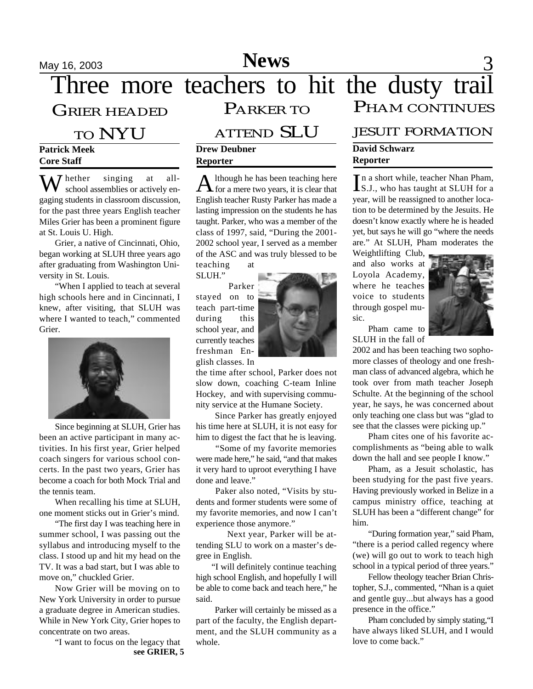## May 16, 2003 **News** 3

Three more teachers to hit the dusty trail GRIER HEADED PARKER TO PHAM CONTINUES

### TO NYU

#### **Patrick Meek Core Staff**

W hether singing at all-<br>school assemblies or actively engaging students in classroom discussion, for the past three years English teacher Miles Grier has been a prominent figure at St. Louis U. High.

Grier, a native of Cincinnati, Ohio, began working at SLUH three years ago after graduating from Washington University in St. Louis.

"When I applied to teach at several high schools here and in Cincinnati, I knew, after visiting, that SLUH was where I wanted to teach," commented Grier.



Since beginning at SLUH, Grier has been an active participant in many activities. In his first year, Grier helped coach singers for various school concerts. In the past two years, Grier has become a coach for both Mock Trial and the tennis team.

When recalling his time at SLUH, one moment sticks out in Grier's mind.

"The first day I was teaching here in summer school, I was passing out the syllabus and introducing myself to the class. I stood up and hit my head on the TV. It was a bad start, but I was able to move on," chuckled Grier.

Now Grier will be moving on to New York University in order to pursue a graduate degree in American studies. While in New York City, Grier hopes to concentrate on two areas.

> "I want to focus on the legacy that **see GRIER, 5**

## ATTEND SLU

#### **Drew Deubner Reporter**

 $A$  lthough he has been teaching here<br>of the mere two years, it is clear that for a mere two years, it is clear that English teacher Rusty Parker has made a lasting impression on the students he has taught. Parker, who was a member of the class of 1997, said, "During the 2001- 2002 school year, I served as a member of the ASC and was truly blessed to be teaching at

SLUH."

Parker stayed on to teach part-time during this school year, and currently teaches freshman English classes. In



the time after school, Parker does not slow down, coaching C-team Inline Hockey, and with supervising community service at the Humane Society.

 Since Parker has greatly enjoyed his time here at SLUH, it is not easy for him to digest the fact that he is leaving.

 "Some of my favorite memories were made here," he said, "and that makes it very hard to uproot everything I have done and leave."

 Paker also noted, "Visits by students and former students were some of my favorite memories, and now I can't experience those anymore."

Next year, Parker will be attending SLU to work on a master's degree in English.

 "I will definitely continue teaching high school English, and hopefully I will be able to come back and teach here," he said.

 Parker will certainly be missed as a part of the faculty, the English department, and the SLUH community as a whole.

### JESUIT FORMATION

#### **David Schwarz Reporter**

In a short while, teacher Nhan Pham,<br>IS.J., who has taught at SLUH for a n a short while, teacher Nhan Pham, year, will be reassigned to another location to be determined by the Jesuits. He doesn't know exactly where he is headed yet, but says he will go "where the needs are." At SLUH, Pham moderates the

Weightlifting Club, and also works at Loyola Academy, where he teaches voice to students through gospel music.



Pham came to SLUH in the fall of

2002 and has been teaching two sophomore classes of theology and one freshman class of advanced algebra, which he took over from math teacher Joseph Schulte. At the beginning of the school year, he says, he was concerned about only teaching one class but was "glad to see that the classes were picking up."

Pham cites one of his favorite accomplishments as "being able to walk down the hall and see people I know."

Pham, as a Jesuit scholastic, has been studying for the past five years. Having previously worked in Belize in a campus ministry office, teaching at SLUH has been a "different change" for him.

"During formation year," said Pham, "there is a period called regency where (we) will go out to work to teach high school in a typical period of three years."

Fellow theology teacher Brian Christopher, S.J., commented, "Nhan is a quiet and gentle guy...but always has a good presence in the office."

Pham concluded by simply stating,"I have always liked SLUH, and I would love to come back."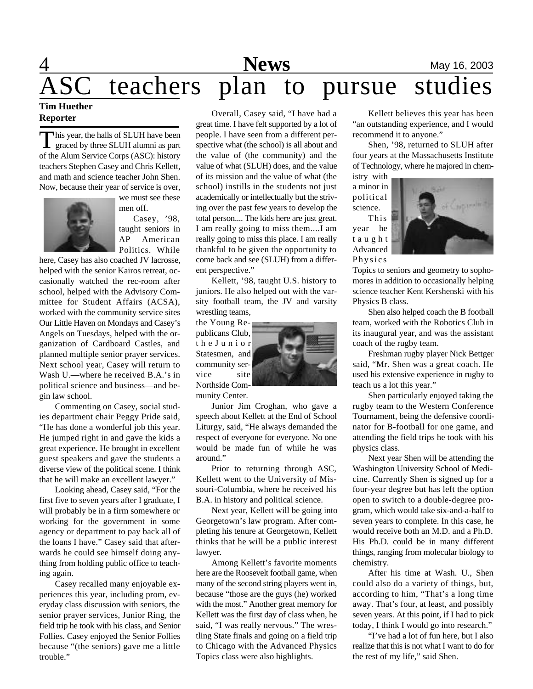## **1 News** May 16, 2003 teachers plan to pursue studies

### **Tim Huether Reporter**

T his year, the halls of SLUH have been graced by three SLUH alumni as part of the Alum Service Corps (ASC): history teachers Stephen Casey and Chris Kellett, and math and science teacher John Shen. Now, because their year of service is over,



we must see these men off. Casey, '98,

taught seniors in AP American Politics. While

here, Casey has also coached JV lacrosse, helped with the senior Kairos retreat, occasionally watched the rec-room after school, helped with the Advisory Committee for Student Affairs (ACSA), worked with the community service sites Our Little Haven on Mondays and Casey's Angels on Tuesdays, helped with the organization of Cardboard Castles, and planned multiple senior prayer services. Next school year, Casey will return to Wash U.—where he received B.A.'s in political science and business—and begin law school.

Commenting on Casey, social studies department chair Peggy Pride said, "He has done a wonderful job this year. He jumped right in and gave the kids a great experience. He brought in excellent guest speakers and gave the students a diverse view of the political scene. I think that he will make an excellent lawyer."

Looking ahead, Casey said, "For the first five to seven years after I graduate, I will probably be in a firm somewhere or working for the government in some agency or department to pay back all of the loans I have." Casey said that afterwards he could see himself doing anything from holding public office to teaching again.

Casey recalled many enjoyable experiences this year, including prom, everyday class discussion with seniors, the senior prayer services, Junior Ring, the field trip he took with his class, and Senior Follies. Casey enjoyed the Senior Follies because "(the seniors) gave me a little trouble."

Overall, Casey said, "I have had a great time. I have felt supported by a lot of people. I have seen from a different perspective what (the school) is all about and the value of (the community) and the value of what (SLUH) does, and the value of its mission and the value of what (the school) instills in the students not just academically or intellectually but the striving over the past few years to develop the total person.... The kids here are just great. I am really going to miss them....I am really going to miss this place. I am really thankful to be given the opportunity to come back and see (SLUH) from a different perspective."

Kellett, '98, taught U.S. history to juniors. He also helped out with the varsity football team, the JV and varsity wrestling teams,

the Young Republicans Club, t h e J u n i o r Statesmen, and community service site Northside Community Center.

around."



Junior Jim Croghan, who gave a speech about Kellett at the End of School Liturgy, said, "He always demanded the respect of everyone for everyone. No one would be made fun of while he was

Prior to returning through ASC, Kellett went to the University of Missouri-Columbia, where he received his B.A. in history and political science.

Next year, Kellett will be going into Georgetown's law program. After completing his tenure at Georgetown, Kellett thinks that he will be a public interest lawyer.

Among Kellett's favorite moments here are the Roosevelt football game, when many of the second string players went in, because "those are the guys (he) worked with the most." Another great memory for Kellett was the first day of class when, he said, "I was really nervous." The wrestling State finals and going on a field trip to Chicago with the Advanced Physics Topics class were also highlights.

Kellett believes this year has been "an outstanding experience, and I would recommend it to anyone."

Shen, '98, returned to SLUH after four years at the Massachusetts Institute of Technology, where he majored in chem-

istry with a minor in political science.

This year he t a u g h t Advanced Physics



Topics to seniors and geometry to sophomores in addition to occasionally helping science teacher Kent Kershenski with his Physics B class.

Shen also helped coach the B football team, worked with the Robotics Club in its inaugural year, and was the assistant coach of the rugby team.

Freshman rugby player Nick Bettger said, "Mr. Shen was a great coach. He used his extensive experience in rugby to teach us a lot this year."

Shen particularly enjoyed taking the rugby team to the Western Conference Tournament, being the defensive coordinator for B-football for one game, and attending the field trips he took with his physics class.

Next year Shen will be attending the Washington University School of Medicine. Currently Shen is signed up for a four-year degree but has left the option open to switch to a double-degree program, which would take six-and-a-half to seven years to complete. In this case, he would receive both an M.D. and a Ph.D. His Ph.D. could be in many different things, ranging from molecular biology to chemistry.

After his time at Wash. U., Shen could also do a variety of things, but, according to him, "That's a long time away. That's four, at least, and possibly seven years. At this point, if I had to pick today, I think I would go into research."

"I've had a lot of fun here, but I also realize that this is not what I want to do for the rest of my life," said Shen.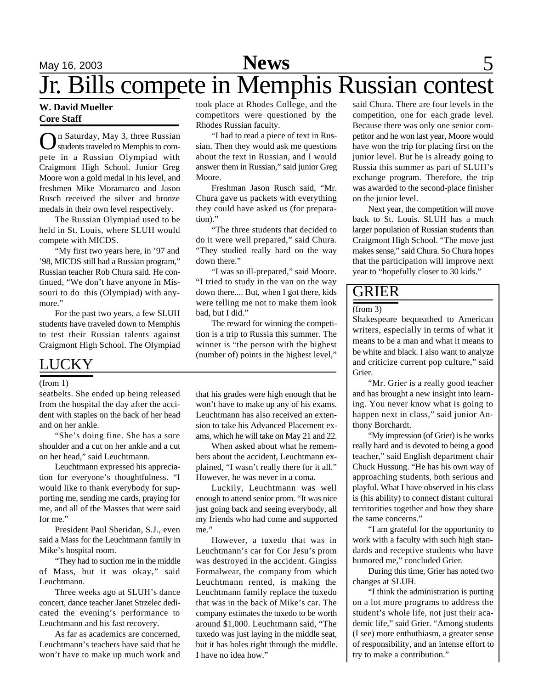### May 16, 2003 **News** 5 Jr. Bills compete in Memphis Russian contest **News**

#### **W. David Mueller Core Staff**

**O**n Saturday, May 3, three Russian<br>pete in a Russian Olympiad with n Saturday, May 3, three Russian students traveled to Memphis to com-Craigmont High School. Junior Greg Moore won a gold medal in his level, and freshmen Mike Moramarco and Jason Rusch received the silver and bronze medals in their own level respectively.

The Russian Olympiad used to be held in St. Louis, where SLUH would compete with MICDS.

"My first two years here, in '97 and '98, MICDS still had a Russian program," Russian teacher Rob Chura said. He continued, "We don't have anyone in Missouri to do this (Olympiad) with anymore."

For the past two years, a few SLUH students have traveled down to Memphis to test their Russian talents against Craigmont High School. The Olympiad

### LUCKY

#### (from 1)

seatbelts. She ended up being released from the hospital the day after the accident with staples on the back of her head and on her ankle.

"She's doing fine. She has a sore shoulder and a cut on her ankle and a cut on her head," said Leuchtmann.

Leuchtmann expressed his appreciation for everyone's thoughtfulness. "I would like to thank everybody for supporting me, sending me cards, praying for me, and all of the Masses that were said for me."

President Paul Sheridan, S.J., even said a Mass for the Leuchtmann family in Mike's hospital room.

"They had to suction me in the middle of Mass, but it was okay," said Leuchtmann.

Three weeks ago at SLUH's dance concert, dance teacher Janet Strzelec dedicated the evening's performance to Leuchtmann and his fast recovery.

As far as academics are concerned, Leuchtmann's teachers have said that he won't have to make up much work and

took place at Rhodes College, and the competitors were questioned by the Rhodes Russian faculty.

"I had to read a piece of text in Russian. Then they would ask me questions about the text in Russian, and I would answer them in Russian," said junior Greg Moore.

Freshman Jason Rusch said, "Mr. Chura gave us packets with everything they could have asked us (for preparation)."

"The three students that decided to do it were well prepared," said Chura. "They studied really hard on the way down there."

"I was so ill-prepared," said Moore. "I tried to study in the van on the way down there.... But, when I got there, kids were telling me not to make them look bad, but I did."

The reward for winning the competition is a trip to Russia this summer. The winner is "the person with the highest (number of) points in the highest level,"

that his grades were high enough that he won't have to make up any of his exams. Leuchtmann has also received an extension to take his Advanced Placement exams, which he will take on May 21 and 22.

When asked about what he remembers about the accident, Leuchtmann explained, "I wasn't really there for it all." However, he was never in a coma.

Luckily, Leuchtmann was well enough to attend senior prom. "It was nice just going back and seeing everybody, all my friends who had come and supported me."

However, a tuxedo that was in Leuchtmann's car for Cor Jesu's prom was destroyed in the accident. Gingiss Formalwear, the company from which Leuchtmann rented, is making the Leuchtmann family replace the tuxedo that was in the back of Mike's car. The company estimates the tuxedo to be worth around \$1,000. Leuchtmann said, "The tuxedo was just laying in the middle seat, but it has holes right through the middle. I have no idea how."

said Chura. There are four levels in the competition, one for each grade level. Because there was only one senior competitor and he won last year, Moore would have won the trip for placing first on the junior level. But he is already going to Russia this summer as part of SLUH's exchange program. Therefore, the trip was awarded to the second-place finisher on the junior level.

Next year, the competition will move back to St. Louis. SLUH has a much larger population of Russian students than Craigmont High School. "The move just makes sense," said Chura. So Chura hopes that the participation will improve next year to "hopefully closer to 30 kids."

### GRIER

#### (from 3)

Shakespeare bequeathed to American writers, especially in terms of what it means to be a man and what it means to be white and black. I also want to analyze and criticize current pop culture," said Grier.

"Mr. Grier is a really good teacher and has brought a new insight into learning. You never know what is going to happen next in class," said junior Anthony Borchardt.

"My impression (of Grier) is he works really hard and is devoted to being a good teacher," said English department chair Chuck Hussung. "He has his own way of approaching students, both serious and playful. What I have observed in his class is (his ability) to connect distant cultural territorities together and how they share the same concerns."

"I am grateful for the opportunity to work with a faculty with such high standards and receptive students who have humored me," concluded Grier.

During this time, Grier has noted two changes at SLUH.

"I think the administration is putting on a lot more programs to address the student's whole life, not just their academic life," said Grier. "Among students (I see) more enthuthiasm, a greater sense of responsibility, and an intense effort to try to make a contribution."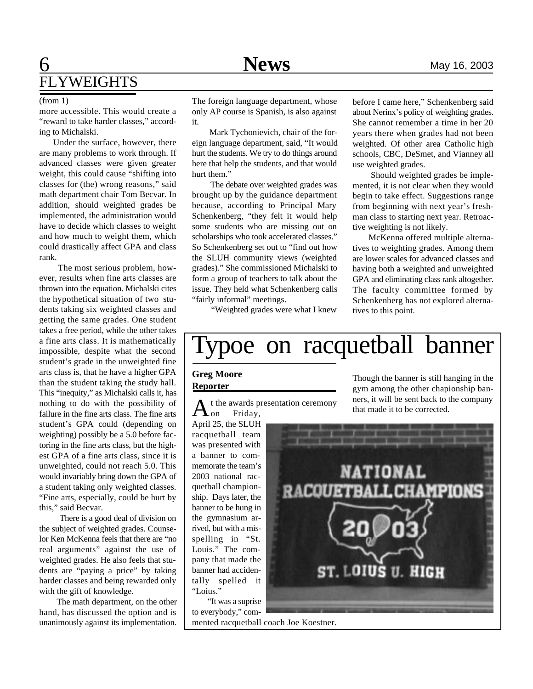## **6** Mews May 16, 2003 FLYWEIGHTS

more accessible. This would create a "reward to take harder classes," according to Michalski.

 Under the surface, however, there are many problems to work through. If advanced classes were given greater weight, this could cause "shifting into classes for (the) wrong reasons," said math department chair Tom Becvar. In addition, should weighted grades be implemented, the administration would have to decide which classes to weight and how much to weight them, which could drastically affect GPA and class rank.

 The most serious problem, however, results when fine arts classes are thrown into the equation. Michalski cites the hypothetical situation of two students taking six weighted classes and getting the same grades. One student takes a free period, while the other takes a fine arts class. It is mathematically impossible, despite what the second student's grade in the unweighted fine arts class is, that he have a higher GPA than the student taking the study hall. This "inequity," as Michalski calls it, has nothing to do with the possibility of failure in the fine arts class. The fine arts student's GPA could (depending on weighting) possibly be a 5.0 before factoring in the fine arts class, but the highest GPA of a fine arts class, since it is unweighted, could not reach 5.0. This would invariably bring down the GPA of a student taking only weighted classes. "Fine arts, especially, could be hurt by this," said Becvar.

 There is a good deal of division on the subject of weighted grades. Counselor Ken McKenna feels that there are "no real arguments" against the use of weighted grades. He also feels that students are "paying a price" by taking harder classes and being rewarded only with the gift of knowledge.

 The math department, on the other hand, has discussed the option and is unanimously against its implementation.

(from 1) The foreign language department, whose only AP course is Spanish, is also against it.

> Mark Tychonievich, chair of the foreign language department, said, "It would hurt the students. We try to do things around here that help the students, and that would hurt them."

> The debate over weighted grades was brought up by the guidance department because, according to Principal Mary Schenkenberg, "they felt it would help some students who are missing out on scholarships who took accelerated classes." So Schenkenberg set out to "find out how the SLUH community views (weighted grades)." She commissioned Michalski to form a group of teachers to talk about the issue. They held what Schenkenberg calls "fairly informal" meetings.

before I came here," Schenkenberg said about Nerinx's policy of weighting grades. She cannot remember a time in her 20 years there when grades had not been weighted. Of other area Catholic high schools, CBC, DeSmet, and Vianney all use weighted grades.

 Should weighted grades be implemented, it is not clear when they would begin to take effect. Suggestions range from beginning with next year's freshman class to starting next year. Retroactive weighting is not likely.

 McKenna offered multiple alternatives to weighting grades. Among them are lower scales for advanced classes and having both a weighted and unweighted GPA and eliminating class rank altogether. The faculty committee formed by Schenkenberg has not explored alternatives to this point.

"Weighted grades were what I knew

# Typoe on racquetball banner

#### **Greg Moore Reporter**

A t the awards presentation ceremony on Friday,

April 25, the SLUH racquetball team was presented with a banner to commemorate the team's 2003 national racquetball championship. Days later, the banner to be hung in the gymnasium arrived, but with a misspelling in "St. Louis." The company that made the banner had accidentally spelled it "Loius."

"It was a suprise to everybody," commented racquetball coach Joe Koestner.

Though the banner is still hanging in the gym among the other chapionship banners, it will be sent back to the company that made it to be corrected.

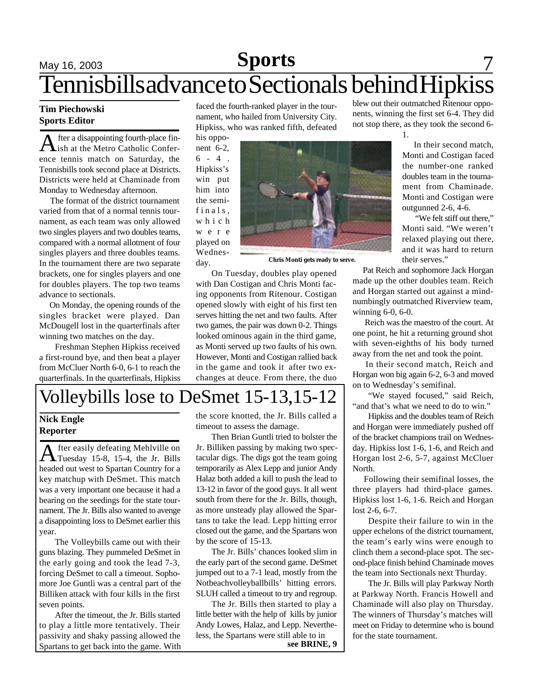## **May 16, 2003 Sports** 7 Tennisbills advance to Sectionals behind Hipkiss

#### **Tim Piechowski Sports Editor**

 $\bigwedge$  fter a disappointing fourth-place fin-<br>ish at the Metro Catholic Conferfter a disappointing fourth-place finence tennis match on Saturday, the Tennisbills took second place at Districts. Districts were held at Chaminade from Monday to Wednesday afternoon.

 The format of the district tournament varied from that of a normal tennis tournament, as each team was only allowed two singles players and two doubles teams, compared with a normal allotment of four singles players and three doubles teams. In the tournament there are two separate brackets, one for singles players and one for doubles players. The top two teams advance to sectionals.

 On Monday, the opening rounds of the singles bracket were played. Dan McDougell lost in the quarterfinals after winning two matches on the day.

Freshman Stephen Hipkiss received a first-round bye, and then beat a player from McCluer North 6-0, 6-1 to reach the quarterfinals. In the quarterfinals, Hipkiss

faced the fourth-ranked player in the tournament, who hailed from University City. Hipkiss, who was ranked fifth, defeated

his opponent 6-2,  $6 - 4$ . Hipkiss's win put him into the semifinals, w h i c h w e r e played on Wednesday.



**Chris Monti gets ready to serve.**

On Tuesday, doubles play opened with Dan Costigan and Chris Monti facing opponents from Ritenour. Costigan opened slowly with eight of his first ten serves hitting the net and two faults. After two games, the pair was down 0-2. Things looked ominous again in the third game, as Monti served up two faults of his own. However, Monti and Costigan rallied back in the game and took it after two exchanges at deuce. From there, the duo

blew out their outmatched Ritenour opponents, winning the first set 6-4. They did not stop there, as they took the second 6-

1.

 In their second match, Monti and Costigan faced the number-one ranked doubles team in the tournament from Chaminade. Monti and Costigan were outgunned 2-6, 4-6.

"We felt stiff out there," Monti said. "We weren't relaxed playing out there, and it was hard to return their serves."

 Pat Reich and sophomore Jack Horgan made up the other doubles team. Reich and Horgan started out against a mindnumbingly outmatched Riverview team, winning 6-0, 6-0.

 Reich was the maestro of the court. At one point, he hit a returning ground shot with seven-eighths of his body turned away from the net and took the point.

 In their second match, Reich and Horgan won big again 6-2, 6-3 and moved on to Wednesday's semifinal.

"We stayed focused," said Reich, "and that's what we need to do to win."

Hipkiss and the doubles team of Reich and Horgan were immediately pushed off of the bracket champions trail on Wednesday. Hipkiss lost 1-6, 1-6, and Reich and Horgan lost 2-6, 5-7, against McCluer North.

 Following their semifinal losses, the three players had third-place games. Hipkiss lost 1-6, 1-6. Reich and Horgan lost 2-6, 6-7.

Despite their failure to win in the upper echelons of the district tournament, the team's early wins were enough to clinch them a second-place spot. The second-place finish behind Chaminade moves the team into Sectionals next Thurday.

The Jr. Bills will play Parkway North at Parkway North. Francis Howell and Chaminade will also play on Thursday. The winners of Thursday's matches will meet on Friday to determine who is bound for the state tournament.

## Volleybills lose to DeSmet 15-13,15-12

### **Nick Engle Reporter**

A fter easily defeating Mehlville on<br>Tuesday 15-8, 15-4, the Jr. Bills fter easily defeating Mehlville on headed out west to Spartan Country for a key matchup with DeSmet. This match was a very important one because it had a bearing on the seedings for the state tournament. The Jr. Bills also wanted to avenge a disappointing loss to DeSmet earlier this year.

The Volleybills came out with their guns blazing. They pummeled DeSmet in the early going and took the lead 7-3, forcing DeSmet to call a timeout. Sophomore Joe Guntli was a central part of the Billiken attack with four kills in the first seven points.

After the timeout, the Jr. Bills started to play a little more tentatively. Their passivity and shaky passing allowed the Spartans to get back into the game. With

the score knotted, the Jr. Bills called a timeout to assess the damage.

Then Brian Guntli tried to bolster the Jr. Billiken passing by making two spectacular digs. The digs got the team going temporarily as Alex Lepp and junior Andy Halaz both added a kill to push the lead to 13-12 in favor of the good guys. It all went south from there for the Jr. Bills, though, as more unsteady play allowed the Spartans to take the lead. Lepp hitting error closed out the game, and the Spartans won by the score of 15-13.

The Jr. Bills' chances looked slim in the early part of the second game. DeSmet jumped out to a 7-1 lead, mostly from the Notbeachvolleyballbills' hitting errors. SLUH called a timeout to try and regroup.

The Jr. Bills then started to play a little better with the help of kills by junior Andy Lowes, Halaz, and Lepp. Nevertheless, the Spartans were still able to in

**see BRINE, 9**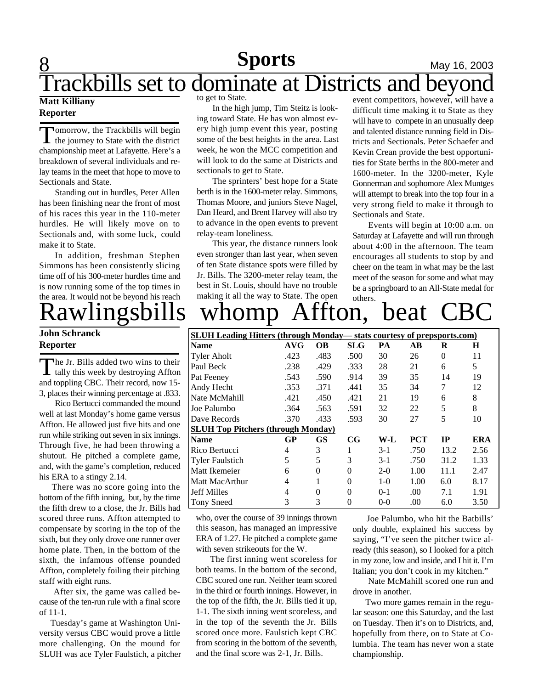# **8 Sports** May 16, 2003

## Trackbills set to dominate at Districts and beyond

### **Matt Killiany Reporter**

Tomorrow, the Trackbills will begin<br>the journey to State with the district omorrow, the Trackbills will begin championship meet at Lafayette. Here's a breakdown of several individuals and relay teams in the meet that hope to move to Sectionals and State.

Standing out in hurdles, Peter Allen has been finishing near the front of most of his races this year in the 110-meter hurdles. He will likely move on to Sectionals and, with some luck, could make it to State.

In addition, freshman Stephen Simmons has been consistently slicing time off of his 300-meter hurdles time and is now running some of the top times in the area. It would not be beyond his reach

### **John Schranck Reporter**

The Jr. Bills added two wins to their<br>tally this week by destroying Affton he Jr. Bills added two wins to their and toppling CBC. Their record, now 15- 3, places their winning percentage at .833.

Rico Bertucci commanded the mound well at last Monday's home game versus Affton. He allowed just five hits and one run while striking out seven in six innings. Through five, he had been throwing a shutout. He pitched a complete game, and, with the game's completion, reduced his ERA to a stingy 2.14.

 There was no score going into the bottom of the fifth inning, but, by the time the fifth drew to a close, the Jr. Bills had scored three runs. Affton attempted to compensate by scoring in the top of the sixth, but they only drove one runner over home plate. Then, in the bottom of the sixth, the infamous offense pounded Affton, completely foiling their pitching staff with eight runs.

 After six, the game was called because of the ten-run rule with a final score of 11-1.

 Tuesday's game at Washington University versus CBC would prove a little more challenging. On the mound for SLUH was ace Tyler Faulstich, a pitcher to get to State.

In the high jump, Tim Steitz is looking toward State. He has won almost every high jump event this year, posting some of the best heights in the area. Last week, he won the MCC competition and will look to do the same at Districts and sectionals to get to State.

The sprinters' best hope for a State berth is in the 1600-meter relay. Simmons, Thomas Moore, and juniors Steve Nagel, Dan Heard, and Brent Harvey will also try to advance in the open events to prevent relay-team loneliness.

This year, the distance runners look even stronger than last year, when seven of ten State distance spots were filled by Jr. Bills. The 3200-meter relay team, the best in St. Louis, should have no trouble making it all the way to State. The open

event competitors, however, will have a difficult time making it to State as they will have to compete in an unusually deep and talented distance running field in Districts and Sectionals. Peter Schaefer and Kevin Crean provide the best opportunities for State berths in the 800-meter and 1600-meter. In the 3200-meter, Kyle Gonnerman and sophomore Alex Muntges will attempt to break into the top four in a very strong field to make it through to Sectionals and State.

Events will begin at 10:00 a.m. on Saturday at Lafayette and will run through about 4:00 in the afternoon. The team encourages all students to stop by and cheer on the team in what may be the last meet of the season for some and what may be a springboard to an All-State medal for others.

# Rawlingsbills whomp Affton, beat CBC

| <b>SLUH Leading Hitters (through Monday—stats courtesy of prepsports.com)</b> |      |           |            |       |            |           |      |  |
|-------------------------------------------------------------------------------|------|-----------|------------|-------|------------|-----------|------|--|
| <b>Name</b>                                                                   | AVG  | <b>OB</b> | <b>SLG</b> | PA    | AВ         | R         | Н    |  |
| <b>Tyler Aholt</b>                                                            | .423 | .483      | .500       | 30    | 26         | $\Omega$  | 11   |  |
| Paul Beck                                                                     | .238 | .429      | .333       | 28    | 21         | 6         | 5    |  |
| Pat Feeney                                                                    | .543 | .590      | .914       | 39    | 35         | 14        | 19   |  |
| Andy Hecht                                                                    | .353 | .371      | .441       | 35    | 34         | 7         | 12   |  |
| Nate McMahill                                                                 | .421 | .450      | .421       | 21    | 19         | 6         | 8    |  |
| Joe Palumbo                                                                   | .364 | .563      | .591       | 32    | 22         | 5         | 8    |  |
| Dave Records                                                                  | .370 | .433      | .593       | 30    | 27         | 5         | 10   |  |
| <b>SLUH Top Pitchers (through Monday)</b>                                     |      |           |            |       |            |           |      |  |
| <b>Name</b>                                                                   | GP   | <b>GS</b> | CG         | W-L   | <b>PCT</b> | <b>IP</b> | ERA  |  |
| Rico Bertucci                                                                 | 4    | 3         | 1          | $3-1$ | .750       | 13.2      | 2.56 |  |
| <b>Tyler Faulstich</b>                                                        | 5    | 5         | 3          | $3-1$ | .750       | 31.2      | 1.33 |  |
| Matt Ikemeier                                                                 | 6    | $\Omega$  | $\theta$   | $2-0$ | 1.00       | 11.1      | 2.47 |  |
| Matt MacArthur                                                                | 4    | 1         | $\theta$   | $1-0$ | 1.00       | 6.0       | 8.17 |  |
| <b>Jeff Milles</b>                                                            | 4    | $\Omega$  | $\Omega$   | $0-1$ | .00        | 7.1       | 1.91 |  |
| <b>Tony Sneed</b>                                                             | 3    | 3         | 0          | $0-0$ | .00        | 6.0       | 3.50 |  |

who, over the course of 39 innings thrown this season, has managed an impressive ERA of 1.27. He pitched a complete game with seven strikeouts for the W.

 The first inning went scoreless for both teams. In the bottom of the second, CBC scored one run. Neither team scored in the third or fourth innings. However, in the top of the fifth, the Jr. Bills tied it up, 1-1. The sixth inning went scoreless, and in the top of the seventh the Jr. Bills scored once more. Faulstich kept CBC from scoring in the bottom of the seventh, and the final score was 2-1, Jr. Bills.

 Joe Palumbo, who hit the Batbills' only double, explained his success by saying, "I've seen the pitcher twice already (this season), so I looked for a pitch in my zone, low and inside, and I hit it. I'm Italian; you don't cook in my kitchen."

Nate McMahill scored one run and drove in another.

 Two more games remain in the regular season: one this Saturday, and the last on Tuesday. Then it's on to Districts, and, hopefully from there, on to State at Columbia. The team has never won a state championship.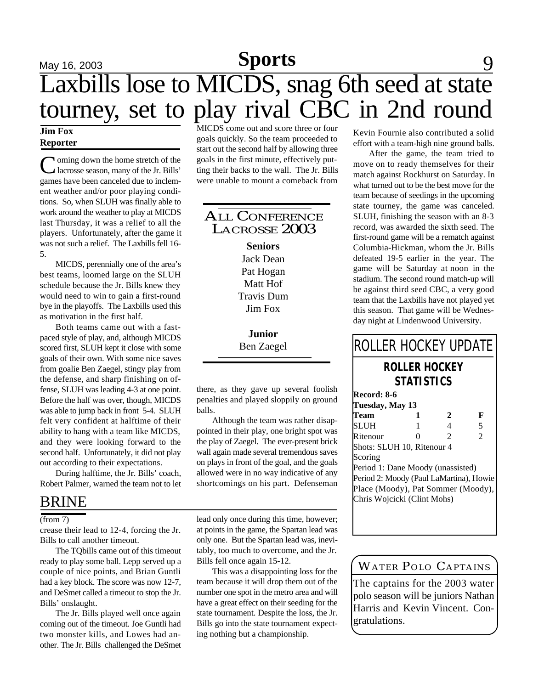# **May 16, 2003 Sports** 9 Laxbills lose to MICDS, snag 6th seed at state tourney, set to play rival CBC in 2nd round

### **Jim Fox Reporter**

C oming down the home stretch of the Jr. Bills' lacrosse season, many of the Jr. Bills' games have been canceled due to inclement weather and/or poor playing conditions. So, when SLUH was finally able to work around the weather to play at MICDS last Thursday, it was a relief to all the players. Unfortunately, after the game it was not such a relief. The Laxbills fell 16- 5.

MICDS, perennially one of the area's best teams, loomed large on the SLUH schedule because the Jr. Bills knew they would need to win to gain a first-round bye in the playoffs. The Laxbills used this as motivation in the first half.

Both teams came out with a fastpaced style of play, and, although MICDS scored first, SLUH kept it close with some goals of their own. With some nice saves from goalie Ben Zaegel, stingy play from the defense, and sharp finishing on offense, SLUH was leading 4-3 at one point. Before the half was over, though, MICDS was able to jump back in front 5-4. SLUH felt very confident at halftime of their ability to hang with a team like MICDS, and they were looking forward to the second half. Unfortunately, it did not play out according to their expectations.

During halftime, the Jr. Bills' coach, Robert Palmer, warned the team not to let

### BRINE

#### (from 7)

crease their lead to 12-4, forcing the Jr. Bills to call another timeout.

The TQbills came out of this timeout ready to play some ball. Lepp served up a couple of nice points, and Brian Guntli had a key block. The score was now 12-7, and DeSmet called a timeout to stop the Jr. Bills' onslaught.

The Jr. Bills played well once again coming out of the timeout. Joe Guntli had two monster kills, and Lowes had another. The Jr. Bills challenged the DeSmet

MICDS come out and score three or four goals quickly. So the team proceeded to start out the second half by allowing three goals in the first minute, effectively putting their backs to the wall. The Jr. Bills were unable to mount a comeback from

### ALL CONFERENCE LACROSSE 2003

**Seniors** Jack Dean Pat Hogan Matt Hof Travis Dum Jim Fox

**Junior** Ben Zaegel

there, as they gave up several foolish penalties and played sloppily on ground balls.

Although the team was rather disappointed in their play, one bright spot was the play of Zaegel. The ever-present brick wall again made several tremendous saves on plays in front of the goal, and the goals allowed were in no way indicative of any shortcomings on his part. Defenseman

lead only once during this time, however; at points in the game, the Spartan lead was only one. But the Spartan lead was, inevitably, too much to overcome, and the Jr. Bills fell once again 15-12.

This was a disappointing loss for the team because it will drop them out of the number one spot in the metro area and will have a great effect on their seeding for the state tournament. Despite the loss, the Jr. Bills go into the state tournament expecting nothing but a championship.

Kevin Fournie also contributed a solid effort with a team-high nine ground balls.

After the game, the team tried to move on to ready themselves for their match against Rockhurst on Saturday. In what turned out to be the best move for the team because of seedings in the upcoming state tourney, the game was canceled. SLUH, finishing the season with an 8-3 record, was awarded the sixth seed. The first-round game will be a rematch against Columbia-Hickman, whom the Jr. Bills defeated 19-5 earlier in the year. The game will be Saturday at noon in the stadium. The second round match-up will be against third seed CBC, a very good team that the Laxbills have not played yet this season. That game will be Wednesday night at Lindenwood University.

### **ROLLER HOCKEY STATISTICS** ROLLER HOCKEY UPDATE

**Record: 8-6**

| IWWI U. O-V                             |   |   |   |
|-----------------------------------------|---|---|---|
| Tuesday, May 13                         |   |   |   |
| Team                                    | 1 | 2 | F |
| SLUH                                    | 1 | 4 | 5 |
| Ritenour                                | 0 | 2 | 2 |
| Shots: SLUH 10, Ritenour 4              |   |   |   |
| Scoring                                 |   |   |   |
| Period 1: Dane Moody (unassisted)       |   |   |   |
| Period 2: Moody (Paul LaMartina), Howie |   |   |   |
| Place (Moody), Pat Sommer (Moody),      |   |   |   |
| Chris Wojcicki (Clint Mohs)             |   |   |   |
|                                         |   |   |   |
|                                         |   |   |   |

### *WATER POLO CAPTAINS*

The captains for the 2003 water polo season will be juniors Nathan Harris and Kevin Vincent. Congratulations.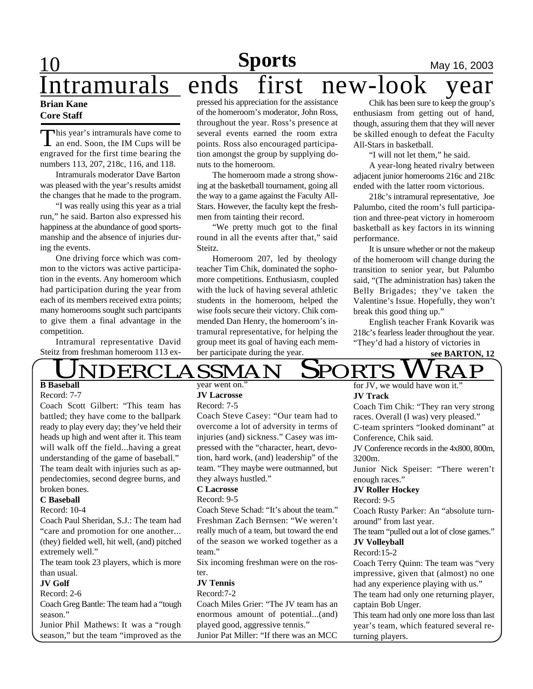## **Sports** May 16, 2003 **Brian Kane** Intramurals ends first new-look

### **Core Staff**

This year's intramurals have come to<br>an end. Soon, the IM Cups will be his year's intramurals have come to engraved for the first time bearing the numbers 113, 207, 218c, 116, and 118.

Intramurals moderator Dave Barton was pleased with the year's results amidst the changes that he made to the program.

"I was really using this year as a trial run," he said. Barton also expressed his happiness at the abundance of good sportsmanship and the absence of injuries during the events.

One driving force which was common to the victors was active participation in the events. Any homeroom which had participation during the year from each of its members received extra points; many homerooms sought such partcipants to give them a final advantage in the competition.

Intramural representative David Steitz from freshman homeroom 113 ex-

pressed his appreciation for the assistance of the homeroom's moderator, John Ross, throughout the year. Ross's presence at several events earned the room extra points. Ross also encouraged participation amongst the group by supplying donuts to the homeroom.

The homeroom made a strong showing at the basketball tournament, going all the way to a game against the Faculty All-Stars. However, the faculty kept the freshmen from tainting their record.

"We pretty much got to the final round in all the events after that," said Steitz.

Homeroom 207, led by theology teacher Tim Chik, dominated the sophomore competitions. Enthusiasm, coupled with the luck of having several athletic students in the homeroom, helped the wise fools secure their victory. Chik commended Dan Henry, the homeroom's intramural representative, for helping the group meet its goal of having each member participate during the year.

Chik has been sure to keep the group's enthusiasm from getting out of hand, though, assuring them that they will never be skilled enough to defeat the Faculty All-Stars in basketball.

"I will not let them," he said.

A year-long heated rivalry between adjacent junior homerooms 216c and 218c ended with the latter room victorious.

218c's intramural representative, Joe Palumbo, cited the room's full participation and three-peat victory in homeroom basketball as key factors in its winning performance.

It is unsure whether or not the makeup of the homeroom will change during the transition to senior year, but Palumbo said, "(The administration has) taken the Belly Brigades; they've taken the Valentine's Issue. Hopefully, they won't break this good thing up."

English teacher Frank Kovarik was 218c's fearless leader throughout the year. "They'd had a history of victories in



# $\rm \overline{UNDERCLASSMAN}$  SPORTS  $\rm \overline{WRAP}$

### **B Baseball**

#### Record: 7-7

Coach Scott Gilbert: "This team has battled; they have come to the ballpark ready to play every day; they've held their heads up high and went after it. This team will walk off the field...having a great understanding of the game of baseball." The team dealt with injuries such as appendectomies, second degree burns, and broken bones.

#### **C Baseball**

#### Record: 10-4

Coach Paul Sheridan, S.J.: The team had "care and promotion for one another... (they) fielded well, hit well, (and) pitched extremely well."

The team took 23 players, which is more than usual.

#### **JV Golf**

Record: 2-6

Coach Greg Bantle: The team had a "tough season."

Junior Phil Mathews: It was a "rough season," but the team "improved as the

#### year went on." **JV Lacrosse**

Record: 7-5

Coach Steve Casey: "Our team had to overcome a lot of adversity in terms of injuries (and) sickness." Casey was impressed with the "character, heart, devotion, hard work, (and) leadership" of the team. "They maybe were outmanned, but they always hustled."

### **C Lacrosse**

#### Record: 9-5

Coach Steve Schad: "It's about the team." Freshman Zach Bernsen: "We weren't really much of a team, but toward the end of the season we worked together as a team."

Six incoming freshman were on the roster.

#### **JV Tennis**

Record:7-2

Coach Miles Grier: "The JV team has an enormous amount of potential...(and) played good, aggressive tennis." Junior Pat Miller: "If there was an MCC

for JV, we would have won it. **JV Track**

Coach Tim Chik: "They ran very strong races. Overall (I was) very pleased."

C-team sprinters "looked dominant" at Conference, Chik said.

JV Conference records in the 4x800, 800m, 3200m.

Junior Nick Speiser: "There weren't enough races."

#### **JV Roller Hockey**

Record: 9-5

Coach Rusty Parker: An "absolute turnaround" from last year.

The team "pulled out a lot of close games." **JV Volleyball**

#### Record:15-2

Coach Terry Quinn: The team was "very impressive, given that (almost) no one had any experience playing with us."

The team had only one returning player, captain Bob Unger.

This team had only one more loss than last year's team, which featured several returning players.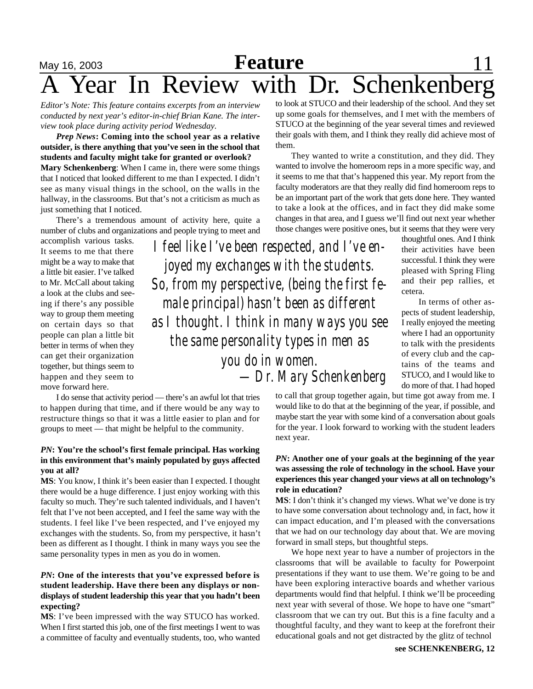## May 16, 2003 **Feature** 11 **Zear In Review with Dr. Schenkenberg**

*Editor's Note: This feature contains excerpts from an interview conducted by next year's editor-in-chief Brian Kane. The interview took place during activity period Wednesday.*

*Prep News***: Coming into the school year as a relative outsider, is there anything that you've seen in the school that students and faculty might take for granted or overlook? Mary Schenkenberg**: When I came in, there were some things that I noticed that looked different to me than I expected. I didn't see as many visual things in the school, on the walls in the hallway, in the classrooms. But that's not a criticism as much as just something that I noticed.

There's a tremendous amount of activity here, quite a number of clubs and organizations and people trying to meet and

accomplish various tasks. It seems to me that there might be a way to make that a little bit easier. I've talked to Mr. McCall about taking a look at the clubs and seeing if there's any possible way to group them meeting on certain days so that people can plan a little bit better in terms of when they can get their organization together, but things seem to happen and they seem to move forward here.

I do sense that activity period — there's an awful lot that tries to happen during that time, and if there would be any way to restructure things so that it was a little easier to plan and for groups to meet — that might be helpful to the community.

#### *PN***: You're the school's first female principal. Has working in this environment that's mainly populated by guys affected you at all?**

**MS**: You know, I think it's been easier than I expected. I thought there would be a huge difference. I just enjoy working with this faculty so much. They're such talented individuals, and I haven't felt that I've not been accepted, and I feel the same way with the students. I feel like I've been respected, and I've enjoyed my exchanges with the students. So, from my perspective, it hasn't been as different as I thought. I think in many ways you see the same personality types in men as you do in women.

#### *PN***: One of the interests that you've expressed before is student leadership. Have there been any displays or nondisplays of student leadership this year that you hadn't been expecting?**

**MS**: I've been impressed with the way STUCO has worked. When I first started this job, one of the first meetings I went to was a committee of faculty and eventually students, too, who wanted to look at STUCO and their leadership of the school. And they set up some goals for themselves, and I met with the members of STUCO at the beginning of the year several times and reviewed their goals with them, and I think they really did achieve most of them.

They wanted to write a constitution, and they did. They wanted to involve the homeroom reps in a more specific way, and it seems to me that that's happened this year. My report from the faculty moderators are that they really did find homeroom reps to be an important part of the work that gets done here. They wanted to take a look at the offices, and in fact they did make some changes in that area, and I guess we'll find out next year whether those changes were positive ones, but it seems that they were very

*I feel like I've been respected, and I've enjoyed my exchanges with the students. So, from my perspective, (being the first female principal) hasn't been as different as I thought. I think in many ways you see the same personality types in men as you do in women. —Dr. Mary Schenkenberg*

thoughtful ones. And I think their activities have been successful. I think they were pleased with Spring Fling and their pep rallies, et cetera.

 In terms of other aspects of student leadership, I really enjoyed the meeting where I had an opportunity to talk with the presidents of every club and the captains of the teams and STUCO, and I would like to do more of that. I had hoped

to call that group together again, but time got away from me. I would like to do that at the beginning of the year, if possible, and maybe start the year with some kind of a conversation about goals for the year. I look forward to working with the student leaders next year.

#### *PN***: Another one of your goals at the beginning of the year was assessing the role of technology in the school. Have your experiences this year changed your views at all on technology's role in education?**

**MS**: I don't think it's changed my views. What we've done is try to have some conversation about technology and, in fact, how it can impact education, and I'm pleased with the conversations that we had on our technology day about that. We are moving forward in small steps, but thoughtful steps.

We hope next year to have a number of projectors in the classrooms that will be available to faculty for Powerpoint presentations if they want to use them. We're going to be and have been exploring interactive boards and whether various departments would find that helpful. I think we'll be proceeding next year with several of those. We hope to have one "smart" classroom that we can try out. But this is a fine faculty and a thoughtful faculty, and they want to keep at the forefront their educational goals and not get distracted by the glitz of technol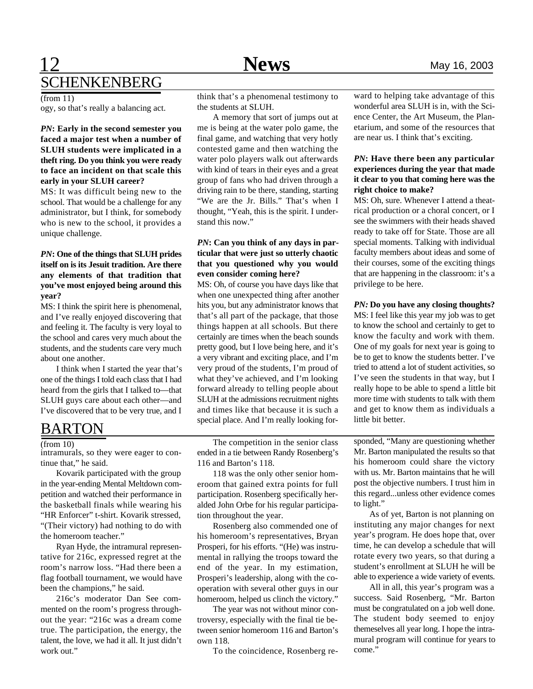## **12 News** May 16, 2003 SCHENKENBERG

 $($ from 11)

ogy, so that's really a balancing act.

#### *PN***: Early in the second semester you faced a major test when a number of SLUH students were implicated in a theft ring. Do you think you were ready to face an incident on that scale this early in your SLUH career?**

MS: It was difficult being new to the school. That would be a challenge for any administrator, but I think, for somebody who is new to the school, it provides a unique challenge.

#### *PN***: One of the things that SLUH prides itself on is its Jesuit tradition. Are there any elements of that tradition that you've most enjoyed being around this year?**

MS: I think the spirit here is phenomenal, and I've really enjoyed discovering that and feeling it. The faculty is very loyal to the school and cares very much about the students, and the students care very much about one another.

I think when I started the year that's one of the things I told each class that I had heard from the girls that I talked to—that SLUH guys care about each other—and I've discovered that to be very true, and I

### BARTON

#### $(from 10)$

intramurals, so they were eager to continue that," he said.

Kovarik participated with the group in the year-ending Mental Meltdown competition and watched their performance in the basketball finals while wearing his "HR Enforcer" t-shirt. Kovarik stressed, "(Their victory) had nothing to do with the homeroom teacher."

Ryan Hyde, the intramural representative for 216c, expressed regret at the room's narrow loss. "Had there been a flag football tournament, we would have been the champions," he said.

216c's moderator Dan See commented on the room's progress throughout the year: "216c was a dream come true. The participation, the energy, the talent, the love, we had it all. It just didn't work out."

think that's a phenomenal testimony to the students at SLUH.

A memory that sort of jumps out at me is being at the water polo game, the final game, and watching that very hotly contested game and then watching the water polo players walk out afterwards with kind of tears in their eyes and a great group of fans who had driven through a driving rain to be there, standing, starting "We are the Jr. Bills." That's when I thought, "Yeah, this is the spirit. I understand this now."

#### *PN***: Can you think of any days in particular that were just so utterly chaotic that you questioned why you would even consider coming here?**

MS: Oh, of course you have days like that when one unexpected thing after another hits you, but any administrator knows that that's all part of the package, that those things happen at all schools. But there certainly are times when the beach sounds pretty good, but I love being here, and it's a very vibrant and exciting place, and I'm very proud of the students, I'm proud of what they've achieved, and I'm looking forward already to telling people about SLUH at the admissions recruitment nights and times like that because it is such a special place. And I'm really looking for-

The competition in the senior class ended in a tie between Randy Rosenberg's 116 and Barton's 118.

118 was the only other senior homeroom that gained extra points for full participation. Rosenberg specifically heralded John Orbe for his regular participation throughout the year.

Rosenberg also commended one of his homeroom's representatives, Bryan Prosperi, for his efforts. "(He) was instrumental in rallying the troops toward the end of the year. In my estimation, Prosperi's leadership, along with the cooperation with several other guys in our homeroom, helped us clinch the victory."

The year was not without minor controversy, especially with the final tie between senior homeroom 116 and Barton's own 118.

To the coincidence, Rosenberg re-

ward to helping take advantage of this wonderful area SLUH is in, with the Science Center, the Art Museum, the Planetarium, and some of the resources that are near us. I think that's exciting.

#### *PN***: Have there been any particular experiences during the year that made it clear to you that coming here was the right choice to make?**

MS: Oh, sure. Whenever I attend a theatrical production or a choral concert, or I see the swimmers with their heads shaved ready to take off for State. Those are all special moments. Talking with individual faculty members about ideas and some of their courses, some of the exciting things that are happening in the classroom: it's a privilege to be here.

#### *PN:* **Do you have any closing thoughts?**

MS: I feel like this year my job was to get to know the school and certainly to get to know the faculty and work with them. One of my goals for next year is going to be to get to know the students better. I've tried to attend a lot of student activities, so I've seen the students in that way, but I really hope to be able to spend a little bit more time with students to talk with them and get to know them as individuals a little bit better

sponded, "Many are questioning whether Mr. Barton manipulated the results so that his homeroom could share the victory with us. Mr. Barton maintains that he will post the objective numbers. I trust him in this regard...unless other evidence comes to light."

As of yet, Barton is not planning on instituting any major changes for next year's program. He does hope that, over time, he can develop a schedule that will rotate every two years, so that during a student's enrollment at SLUH he will be able to experience a wide variety of events.

All in all, this year's program was a success. Said Rosenberg, "Mr. Barton must be congratulated on a job well done. The student body seemed to enjoy themeselves all year long. I hope the intramural program will continue for years to come."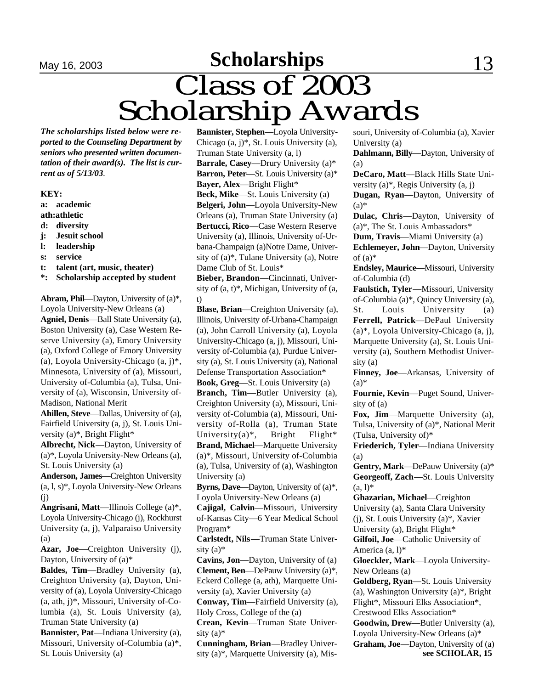# **May 16, 2003 Scholarships** 13 Class of 2003 Scholarship Awards

*The scholarships listed below were reported to the Counseling Department by seniors who presented written documentation of their award(s). The list is current as of 5/13/03.*

#### **KEY:**

- **a: academic**
- **ath:athletic**
- **d: diversity**
- **j: Jesuit school**
- **l: leadership**
- **s: service**
- **t: talent (art, music, theater)**
- **\*: Scholarship accepted by student**

**Abram, Phil**—Dayton, University of (a)\*, Loyola University-New Orleans (a) **Agniel, Denis**—Ball State University (a), Boston University (a), Case Western Reserve University (a), Emory University (a), Oxford College of Emory University (a), Loyola University-Chicago (a, j)\*, Minnesota, University of (a), Missouri, University of-Columbia (a), Tulsa, University of (a), Wisconsin, University of-Madison, National Merit

**Ahillen, Steve**—Dallas, University of (a), Fairfield University (a, j), St. Louis University (a)\*, Bright Flight\*

**Albrecht, Nick**—Dayton, University of (a)\*, Loyola University-New Orleans (a), St. Louis University (a)

**Anderson, James**—Creighton University (a, l, s)\*, Loyola University-New Orleans (j)

**Angrisani, Matt**—Illinois College (a)\*, Loyola University-Chicago (j), Rockhurst University (a, j), Valparaiso University (a)

**Azar, Joe**—Creighton University (j), Dayton, University of (a)\*

**Baldes, Tim**—Bradley University (a), Creighton University (a), Dayton, University of (a), Loyola University-Chicago (a, ath, j)\*, Missouri, University of-Columbia (a), St. Louis University (a), Truman State University (a)

**Bannister, Pat**—Indiana University (a), Missouri, University of-Columbia (a)\*, St. Louis University (a)

**Bannister, Stephen**—Loyola University-Chicago (a, j)\*, St. Louis University (a), Truman State University (a, l) **Barrale, Casey**—Drury University (a)\* **Barron, Peter**—St. Louis University (a)\* **Bayer, Alex**—Bright Flight\* **Beck, Mike**—St. Louis University (a) **Belgeri, John**—Loyola University-New Orleans (a), Truman State University (a) **Bertucci, Rico**—Case Western Reserve

University (a), Illinois, University of-Urbana-Champaign (a)Notre Dame, University of (a)\*, Tulane University (a), Notre Dame Club of St. Louis\*

**Bieber, Brandon**—Cincinnati, University of (a, t)\*, Michigan, University of (a, t)

**Blase, Brian**—Creighton University (a), Illinois, University of-Urbana-Champaign (a), John Carroll University (a), Loyola University-Chicago (a, j), Missouri, University of-Columbia (a), Purdue University (a), St. Louis University (a), National Defense Transportation Association\*

**Book, Greg**—St. Louis University (a) **Branch, Tim**—Butler University (a), Creighton University (a), Missouri, University of-Columbia (a), Missouri, University of-Rolla (a), Truman State University(a)\*, Bright Flight\* **Brand, Michael**—Marquette University (a)\*, Missouri, University of-Columbia (a), Tulsa, University of (a), Washington University (a)

**Byrns, Dave**—Dayton, University of (a)\*, Loyola University-New Orleans (a)

**Cajigal, Calvin**—Missouri, University of-Kansas City—6 Year Medical School Program\*

**Carlstedt, Nils**—Truman State University  $(a)$ <sup>\*</sup>

**Cavins, Jon**—Dayton, University of (a) **Clement, Ben**—DePauw University (a)\*, Eckerd College (a, ath), Marquette University (a), Xavier University (a)

**Conway, Tim**—Fairfield University (a), Holy Cross, College of the (a)

**Crean, Kevin**—Truman State University  $(a)$ <sup>\*</sup>

**Cunningham, Brian**—Bradley University (a)\*, Marquette University (a), Missouri, University of-Columbia (a), Xavier University (a)

**Dahlmann, Billy**—Dayton, University of (a)

**DeCaro, Matt**—Black Hills State University (a)\*, Regis University (a, j)

**Dugan, Ryan**—Dayton, University of  $(a)$ 

**Dulac, Chris**—Dayton, University of (a)\*, The St. Louis Ambassadors\*

**Dum, Travis**—Miami University (a)

**Echlemeyer, John**—Dayton, University of  $(a)$ <sup>\*</sup>

**Endsley, Maurice**—Missouri, University of-Columbia (d)

**Faulstich, Tyler**—Missouri, University of-Columbia (a)\*, Quincy University (a), St. Louis University (a) **Ferrell, Patrick**—DePaul University (a)\*, Loyola University-Chicago (a, j), Marquette University (a), St. Louis University (a), Southern Methodist University (a)

**Finney, Joe**—Arkansas, University of  $(a)$ 

**Fournie, Kevin**—Puget Sound, University of (a)

**Fox, Jim**—Marquette University (a), Tulsa, University of (a)\*, National Merit (Tulsa, University of)\*

**Friederich, Tyler**—Indiana University (a)

**Gentry, Mark**—DePauw University (a)\* **Georgeoff, Zach**—St. Louis University  $(a, l)^*$ 

**Ghazarian, Michael**—Creighton University (a), Santa Clara University (j), St. Louis University (a)\*, Xavier University (a), Bright Flight\*

**Gilfoil, Joe**—Catholic University of America (a, l)\*

**Gloeckler, Mark**—Loyola University-New Orleans (a)

**Goldberg, Ryan**—St. Louis University (a), Washington University (a)\*, Bright Flight\*, Missouri Elks Association\*, Crestwood Elks Association\*

**Goodwin, Drew**—Butler University (a), Loyola University-New Orleans (a)\*

**Graham, Joe**—Dayton, University of (a) **see SCHOLAR, 15**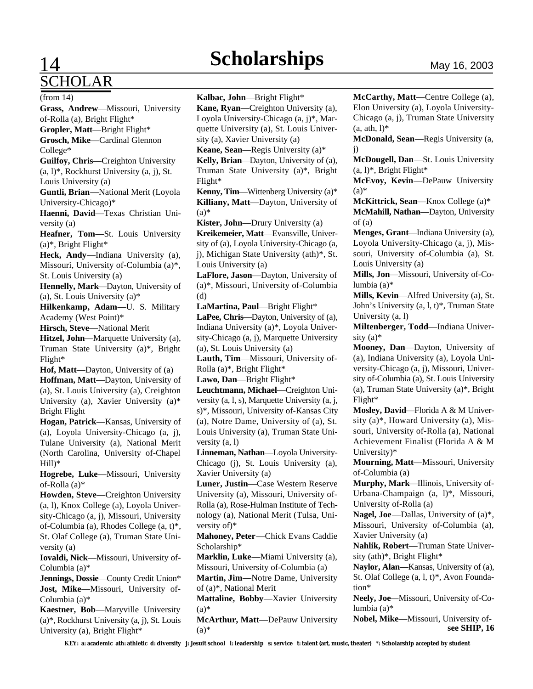# SCHOLAR

# **14** Scholarships May 16, 2003

**Grass, Andrew**—Missouri, University of-Rolla (a), Bright Flight\* **Gropler, Matt**—Bright Flight\* **Grosch, Mike**—Cardinal Glennon College\* **Guilfoy, Chris**—Creighton University  $(a, l)^*$ , Rockhurst University  $(a, j)$ , St. Louis University (a) **Guntli, Brian**—National Merit (Loyola University-Chicago)\* **Haenni, David**—Texas Christian University (a) **Heafner, Tom**—St. Louis University  $(a)$ <sup>\*</sup>, Bright Flight<sup>\*</sup> **Heck, Andy**—Indiana University (a), Missouri, University of-Columbia (a)\*, St. Louis University (a) **Hennelly, Mark**—Dayton, University of (a), St. Louis University (a)\* **Hilkenkamp, Adam**—U. S. Military Academy (West Point)\* **Hirsch, Steve**—National Merit **Hitzel, John**—Marquette University (a), Truman State University (a)\*, Bright Flight\* **Hof, Matt**—Dayton, University of (a) **Hoffman, Matt**—Dayton, University of (a), St. Louis University (a), Creighton University (a), Xavier University (a)\* Bright Flight (from 14)

**Hogan, Patrick**—Kansas, University of (a), Loyola University-Chicago (a, j), Tulane University (a), National Merit (North Carolina, University of-Chapel Hill)\*

**Hogrebe, Luke**—Missouri, University of-Rolla (a)\*

**Howden, Steve**—Creighton University (a, l), Knox College (a), Loyola University-Chicago (a, j), Missouri, University of-Columbia (a), Rhodes College (a, t)\*, St. Olaf College (a), Truman State University (a)

**Iovaldi, Nick**—Missouri, University of-Columbia (a)\*

**Jennings, Dossie**—County Credit Union\* **Jost, Mike**—Missouri, University of-Columbia (a)\*

**Kaestner, Bob**—Maryville University (a)\*, Rockhurst University (a, j), St. Louis University (a), Bright Flight\*

**Kalbac, John**—Bright Flight\* **Kane, Ryan**—Creighton University (a), Loyola University-Chicago (a, j)\*, Marquette University (a), St. Louis University (a), Xavier University (a) **Keane, Sean**—Regis University (a)\* **Kelly, Brian**—Dayton, University of (a), Truman State University (a)\*, Bright Flight\* **Kenny, Tim**—Wittenberg University (a)\* **Killiany, Matt**—Dayton, University of  $(a)$ \* **Kister, John**—Drury University (a) **Kreikemeier, Matt**—Evansville, University of (a), Loyola University-Chicago (a, j), Michigan State University (ath)\*, St. Louis University (a) **LaFlore, Jason**—Dayton, University of (a)\*, Missouri, University of-Columbia (d) **LaMartina, Paul**—Bright Flight\* **LaPee, Chris**—Dayton, University of (a), Indiana University (a)\*, Loyola University-Chicago (a, j), Marquette University (a), St. Louis University (a) **Lauth, Tim**—Missouri, University of-Rolla (a)\*, Bright Flight\* **Lawo, Dan**—Bright Flight\* **Leuchtmann, Michael**—Creighton University (a, l, s), Marquette University (a, j,

s)\*, Missouri, University of-Kansas City (a), Notre Dame, University of (a), St. Louis University (a), Truman State University (a, l)

**Linneman, Nathan**—Loyola University-Chicago (j), St. Louis University (a), Xavier University (a)

**Luner, Justin**—Case Western Reserve University (a), Missouri, University of-Rolla (a), Rose-Hulman Institute of Technology (a), National Merit (Tulsa, University of)\*

**Mahoney, Peter**—Chick Evans Caddie Scholarship\*

**Marklin, Luke**—Miami University (a), Missouri, University of-Columbia (a)

**Martin, Jim**—Notre Dame, University of (a)\*, National Merit

**Mattaline, Bobby**—Xavier University  $(a)$ \*

**McArthur, Matt**—DePauw University  $(a)$ 

**McCarthy, Matt**—Centre College (a), Elon University (a), Loyola University-Chicago (a, j), Truman State University  $(a, ath, l)$ \*

**McDonald, Sean**—Regis University (a, j)

**McDougell, Dan**—St. Louis University  $(a, l)^*$ , Bright Flight<sup>\*</sup>

**McEvoy, Kevin**—DePauw University  $(a)$ 

**McKittrick, Sean**—Knox College (a)\* **McMahill, Nathan**—Dayton, University of (a)

**Menges, Grant**—Indiana University (a), Loyola University-Chicago (a, j), Missouri, University of-Columbia (a), St. Louis University (a)

**Mills, Jon**—Missouri, University of-Columbia (a)\*

**Mills, Kevin**—Alfred University (a), St. John's University (a, l, t)\*, Truman State University (a, l)

**Miltenberger, Todd**—Indiana University  $(a)$ <sup>\*</sup>

**Mooney, Dan**—Dayton, University of (a), Indiana University (a), Loyola University-Chicago (a, j), Missouri, University of-Columbia (a), St. Louis University (a), Truman State University (a)\*, Bright Flight\*

**Mosley, David**—Florida A & M University (a)\*, Howard University (a), Missouri, University of-Rolla (a), National Achievement Finalist (Florida A & M University)\*

**Mourning, Matt**—Missouri, University of-Columbia (a)

**Murphy, Mark**—Illinois, University of-Urbana-Champaign (a, l)\*, Missouri, University of-Rolla (a)

**Nagel, Joe**—Dallas, University of (a)\*, Missouri, University of-Columbia (a), Xavier University (a)

**Nahlik, Robert**—Truman State University (ath)\*, Bright Flight\*

**Naylor, Alan**—Kansas, University of (a), St. Olaf College (a, l, t)\*, Avon Foundation\*

**Neely, Joe**—Missouri, University of-Columbia (a)\*

**Nobel, Mike**—Missouri, University of**see SHIP, 16**

**KEY: a: academic ath: athletic d: diversity j: Jesuit school l: leadership s: service t: talent (art, music, theater) \*: Scholarship accepted by student**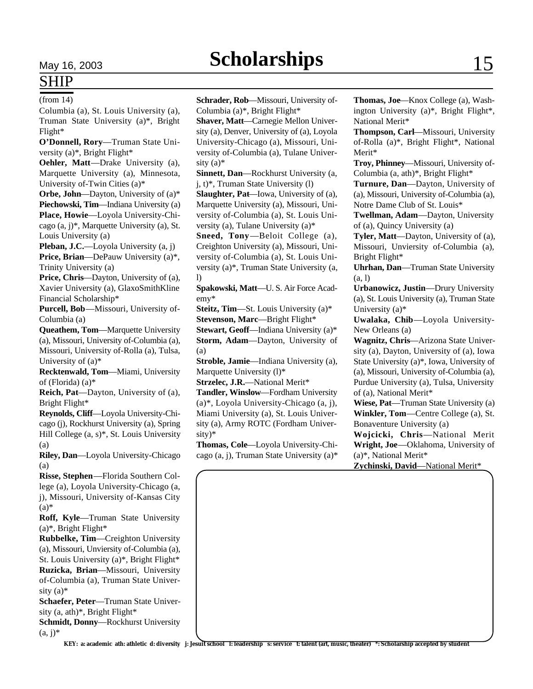## SHIP

(from 14)

Columbia (a), St. Louis University (a), Truman State University (a)\*, Bright Flight\*

**O'Donnell, Rory**—Truman State University (a)\*, Bright Flight\*

**Oehler, Matt**—Drake University (a), Marquette University (a), Minnesota, University of-Twin Cities (a)\*

**Orbe, John**—Dayton, University of (a)\* **Piechowski, Tim**—Indiana University (a) **Place, Howie**—Loyola University-Chicago (a, j)\*, Marquette University (a), St. Louis University (a)

**Pleban, J.C.**—Loyola University (a, j) **Price, Brian**—DePauw University (a)\*, Trinity University (a)

**Price, Chris**—Dayton, University of (a), Xavier University (a), GlaxoSmithKline Financial Scholarship\*

**Purcell, Bob**—Missouri, University of-Columbia (a)

**Queathem, Tom**—Marquette University (a), Missouri, University of-Columbia (a), Missouri, University of-Rolla (a), Tulsa, University of (a)\*

**Recktenwald, Tom**—Miami, University of (Florida) (a)\*

**Reich, Pat**—Dayton, University of (a), Bright Flight\*

**Reynolds, Cliff**—Loyola University-Chicago (j), Rockhurst University (a), Spring Hill College (a, s)\*, St. Louis University (a)

**Riley, Dan**—Loyola University-Chicago (a)

**Risse, Stephen**—Florida Southern College (a), Loyola University-Chicago (a, j), Missouri, University of-Kansas City  $(a)$ 

**Roff, Kyle**—Truman State University  $(a)$ <sup>\*</sup>, Bright Flight<sup>\*</sup>

**Rubbelke, Tim**—Creighton University (a), Missouri, Unviersity of-Columbia (a), St. Louis University (a)\*, Bright Flight\* **Ruzicka, Brian**—Missouri, University of-Columbia (a), Truman State University  $(a)$ <sup>\*</sup>

**Schaefer, Peter**—Truman State University (a, ath)\*, Bright Flight\*

**Schmidt, Donny**—Rockhurst University  $(a, j)^*$ 

**Schrader, Rob**—Missouri, University of-Columbia (a)\*, Bright Flight\*

**Shaver, Matt**—Carnegie Mellon University (a), Denver, University of (a), Loyola University-Chicago (a), Missouri, University of-Columbia (a), Tulane University  $(a)$ <sup>\*</sup>

**Sinnett, Dan**—Rockhurst University (a, j, t)\*, Truman State University (l)

**Slaughter, Pat**—Iowa, University of (a), Marquette University (a), Missouri, University of-Columbia (a), St. Louis University (a), Tulane University (a)\*

**Sneed, Tony**—Beloit College (a), Creighton University (a), Missouri, University of-Columbia (a), St. Louis University (a)\*, Truman State University (a, l)

**Spakowski, Matt**—U. S. Air Force Academy\*

**Steitz, Tim**—St. Louis University (a)\* **Stevenson, Marc**—Bright Flight\*

**Stewart, Geoff**—Indiana University (a)\* **Storm, Adam**—Dayton, University of (a)

**Stroble, Jamie**—Indiana University (a), Marquette University (l)\*

**Strzelec, J.R.**—National Merit\*

**Tandler, Winslow**—Fordham University (a)\*, Loyola University-Chicago (a, j), Miami University (a), St. Louis University (a), Army ROTC (Fordham University)\*

**Thomas, Cole**—Loyola University-Chicago (a, j), Truman State University (a)\* **Thomas, Joe**—Knox College (a), Washington University (a)\*, Bright Flight\*, National Merit\*

**Thompson, Carl**—Missouri, University of-Rolla (a)\*, Bright Flight\*, National Merit\*

**Troy, Phinney**—Missouri, University of-Columbia (a, ath)\*, Bright Flight\*

**Turnure, Dan**—Dayton, University of (a), Missouri, University of-Columbia (a), Notre Dame Club of St. Louis\*

**Twellman, Adam**—Dayton, University of (a), Quincy University (a)

**Tyler, Matt**—Dayton, University of (a), Missouri, Unviersity of-Columbia (a), Bright Flight\*

**Uhrhan, Dan**—Truman State University (a, l)

**Urbanowicz, Justin**—Drury University (a), St. Louis University (a), Truman State University (a)\*

**Uwalaka, Chib**—Loyola University-New Orleans (a)

**Wagnitz, Chris**—Arizona State University (a), Dayton, University of (a), Iowa State University (a)\*, Iowa, University of (a), Missouri, University of-Columbia (a), Purdue University (a), Tulsa, University of (a), National Merit\*

**Wiese, Pat**—Truman State University (a) **Winkler, Tom**—Centre College (a), St. Bonaventure University (a)

**Wojcicki, Chris**—National Merit **Wright, Joe**—Oklahoma, University of (a)\*, National Merit\*

**Zychinski, David**—National Merit\*

**KEY: a: academic ath: athletic d: diversity j: Jesuit school l: leadership s: service t: talent (art, music, theater) \*: Scholarship accepted by student**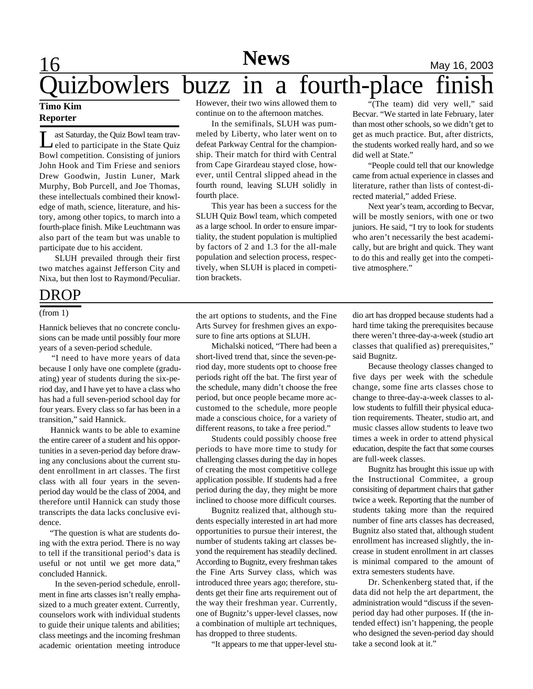## **News**

## **16 News** May 16, 2003  $uizbowlers$  buzz in a fourth-place

#### **Timo Kim Reporter**

L ast Saturday, the Quiz Bowl team traveled to participate in the State Quiz Bowl competition. Consisting of juniors John Hook and Tim Friese and seniors Drew Goodwin, Justin Luner, Mark Murphy, Bob Purcell, and Joe Thomas, these intellectuals combined their knowledge of math, science, literature, and history, among other topics, to march into a fourth-place finish. Mike Leuchtmann was also part of the team but was unable to participate due to his accident.

SLUH prevailed through their first two matches against Jefferson City and Nixa, but then lost to Raymond/Peculiar.

### DROP

#### (from 1)

Hannick believes that no concrete conclusions can be made until possibly four more years of a seven-period schedule.

 "I need to have more years of data because I only have one complete (graduating) year of students during the six-period day, and I have yet to have a class who has had a full seven-period school day for four years. Every class so far has been in a transition," said Hannick.

 Hannick wants to be able to examine the entire career of a student and his opportunities in a seven-period day before drawing any conclusions about the current student enrollment in art classes. The first class with all four years in the sevenperiod day would be the class of 2004, and therefore until Hannick can study those transcripts the data lacks conclusive evidence.

 "The question is what are students doing with the extra period. There is no way to tell if the transitional period's data is useful or not until we get more data," concluded Hannick.

In the seven-period schedule, enrollment in fine arts classes isn't really emphasized to a much greater extent. Currently, counselors work with individual students to guide their unique talents and abilities; class meetings and the incoming freshman academic orientation meeting introduce

However, their two wins allowed them to continue on to the afternoon matches.

In the semifinals, SLUH was pummeled by Liberty, who later went on to defeat Parkway Central for the championship. Their match for third with Central from Cape Girardeau stayed close, however, until Central slipped ahead in the fourth round, leaving SLUH solidly in fourth place.

This year has been a success for the SLUH Quiz Bowl team, which competed as a large school. In order to ensure impartiality, the student population is multiplied by factors of 2 and 1.3 for the all-male population and selection process, respectively, when SLUH is placed in competition brackets.

"(The team) did very well," said Becvar. "We started in late February, later than most other schools, so we didn't get to get as much practice. But, after districts, the students worked really hard, and so we did well at State."

"People could tell that our knowledge came from actual experience in classes and literature, rather than lists of contest-directed material," added Friese.

Next year's team, according to Becvar, will be mostly seniors, with one or two juniors. He said, "I try to look for students who aren't necessarily the best academically, but are bright and quick. They want to do this and really get into the competitive atmosphere."

the art options to students, and the Fine Arts Survey for freshmen gives an exposure to fine arts options at SLUH.

Michalski noticed, "There had been a short-lived trend that, since the seven-period day, more students opt to choose free periods right off the bat. The first year of the schedule, many didn't choose the free period, but once people became more accustomed to the schedule, more people made a conscious choice, for a variety of different reasons, to take a free period."

Students could possibly choose free periods to have more time to study for challenging classes during the day in hopes of creating the most competitive college application possible. If students had a free period during the day, they might be more inclined to choose more difficult courses.

Bugnitz realized that, although students especially interested in art had more opportunities to pursue their interest, the number of students taking art classes beyond the requirement has steadily declined. According to Bugnitz, every freshman takes the Fine Arts Survey class, which was introduced three years ago; therefore, students get their fine arts requirement out of the way their freshman year. Currently, one of Bugnitz's upper-level classes, now a combination of multiple art techniques, has dropped to three students.

"It appears to me that upper-level stu-

dio art has dropped because students had a hard time taking the prerequisites because there weren't three-day-a-week (studio art classes that qualified as) prerequisites," said Bugnitz.

Because theology classes changed to five days per week with the schedule change, some fine arts classes chose to change to three-day-a-week classes to allow students to fulfill their physical education requirements. Theater, studio art, and music classes allow students to leave two times a week in order to attend physical education, despite the fact that some courses are full-week classes.

Bugnitz has brought this issue up with the Instructional Commitee, a group consisiting of department chairs that gather twice a week. Reporting that the number of students taking more than the required number of fine arts classes has decreased, Bugnitz also stated that, although student enrollment has increased slightly, the increase in student enrollment in art classes is minimal compared to the amount of extra semesters students have.

Dr. Schenkenberg stated that, if the data did not help the art department, the administration would "discuss if the sevenperiod day had other purposes. If (the intended effect) isn't happening, the people who designed the seven-period day should take a second look at it."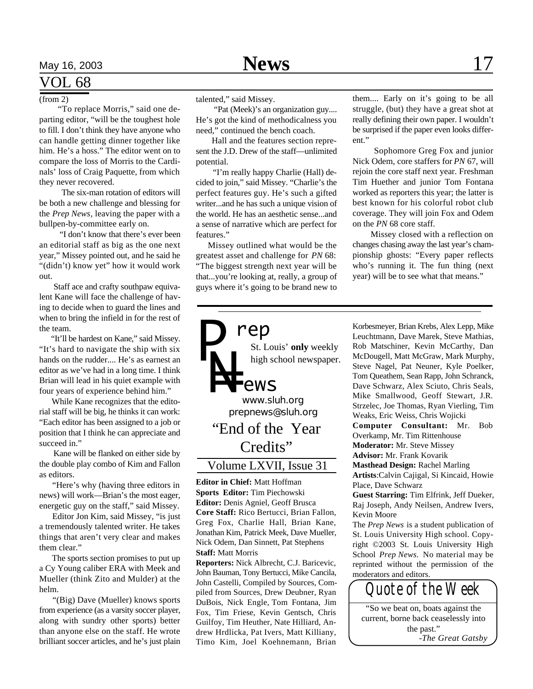### VOL 68

(from 2)

 "To replace Morris," said one departing editor, "will be the toughest hole to fill. I don't think they have anyone who can handle getting dinner together like him. He's a hoss." The editor went on to compare the loss of Morris to the Cardinals' loss of Craig Paquette, from which they never recovered.

 The six-man rotation of editors will be both a new challenge and blessing for the *Prep News*, leaving the paper with a bullpen-by-committee early on.

 "I don't know that there's ever been an editorial staff as big as the one next year," Missey pointed out, and he said he "(didn't) know yet" how it would work out.

 Staff ace and crafty southpaw equivalent Kane will face the challenge of having to decide when to guard the lines and when to bring the infield in for the rest of the team.

 "It'll be hardest on Kane," said Missey. "It's hard to navigate the ship with six hands on the rudder.... He's as earnest an editor as we've had in a long time. I think Brian will lead in his quiet example with four years of experience behind him."

 While Kane recognizes that the editorial staff will be big, he thinks it can work: "Each editor has been assigned to a job or position that I think he can appreciate and succeed in."

 Kane will be flanked on either side by the double play combo of Kim and Fallon as editors.

 "Here's why (having three editors in news) will work—Brian's the most eager, energetic guy on the staff," said Missey.

 Editor Jon Kim, said Missey, "is just a tremendously talented writer. He takes things that aren't very clear and makes them clear."

 The sports section promises to put up a Cy Young caliber ERA with Meek and Mueller (think Zito and Mulder) at the helm.

 "(Big) Dave (Mueller) knows sports from experience (as a varsity soccer player, along with sundry other sports) better than anyone else on the staff. He wrote brilliant soccer articles, and he's just plain talented," said Missey.

 "Pat (Meek)'s an organization guy.... He's got the kind of methodicalness you need," continued the bench coach.

 Hall and the features section represent the J.D. Drew of the staff—unlimited potential.

 "I'm really happy Charlie (Hall) decided to join," said Missey. "Charlie's the perfect features guy. He's such a gifted writer...and he has such a unique vision of the world. He has an aesthetic sense...and a sense of narrative which are perfect for features."

 Missey outlined what would be the greatest asset and challenge for *PN* 68: "The biggest strength next year will be that...you're looking at, really, a group of guys where it's going to be brand new to

them.... Early on it's going to be all struggle, (but) they have a great shot at really defining their own paper. I wouldn't be surprised if the paper even looks different."

 Sophomore Greg Fox and junior Nick Odem, core staffers for *PN* 67, will rejoin the core staff next year. Freshman Tim Huether and junior Tom Fontana worked as reporters this year; the latter is best known for his colorful robot club coverage. They will join Fox and Odem on the *PN* 68 core staff.

 Missey closed with a reflection on changes chasing away the last year's championship ghosts: "Every paper reflects who's running it. The fun thing (next year) will be to see what that means."

**Editor in Chief:** Matt Hoffman **Sports Editor:** Tim Piechowski **Editor:** Denis Agniel, Geoff Brusca **Core Staff:** Rico Bertucci, Brian Fallon, Greg Fox, Charlie Hall, Brian Kane, Jonathan Kim, Patrick Meek, Dave Mueller, Nick Odem, Dan Sinnett, Pat Stephens **Staff:** Matt Morris

**Reporters:** Nick Albrecht, C.J. Baricevic, John Bauman, Tony Bertucci, Mike Cancila, John Castelli, Compiled by Sources, Compiled from Sources, Drew Deubner, Ryan DuBois, Nick Engle, Tom Fontana, Jim Fox, Tim Friese, Kevin Gentsch, Chris Guilfoy, Tim Heuther, Nate Hilliard, Andrew Hrdlicka, Pat Ivers, Matt Killiany, Timo Kim, Joel Koehnemann, Brian

Korbesmeyer, Brian Krebs, Alex Lepp, Mike Leuchtmann, Dave Marek, Steve Mathias, Rob Matschiner, Kevin McCarthy, Dan McDougell, Matt McGraw, Mark Murphy, Steve Nagel, Pat Neuner, Kyle Poelker, Tom Queathem, Sean Rapp, John Schranck, Dave Schwarz, Alex Sciuto, Chris Seals, Mike Smallwood, Geoff Stewart, J.R. Strzelec, Joe Thomas, Ryan Vierling, Tim Weaks, Eric Weiss, Chris Wojicki

**Computer Consultant:** Mr. Bob Overkamp, Mr. Tim Rittenhouse

**Moderator:** Mr. Steve Missey **Advisor:** Mr. Frank Kovarik

**Masthead Design:** Rachel Marling

**Artists**:Calvin Cajigal, Si Kincaid, Howie Place, Dave Schwarz

**Guest Starring:** Tim Elfrink, Jeff Dueker, Raj Joseph, Andy Neilsen, Andrew Ivers, Kevin Moore

The *Prep News* is a student publication of St. Louis University High school. Copyright ©2003 St. Louis University High School *Prep News.* No material may be reprinted without the permission of the moderators and editors.

*Quote of the Week* "So we beat on, boats against the current, borne back ceaselessly into the past." -*The Great Gatsby*